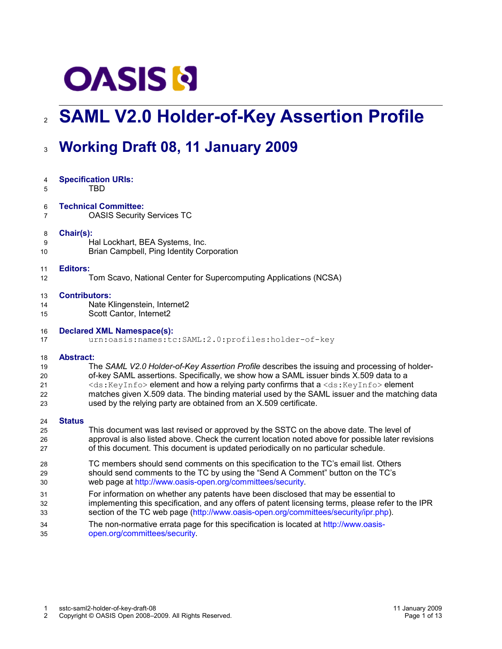# **OASIS N**

# **SAML V2.0 Holder-of-Key Assertion Profile** 2

# **Working Draft 08, 11 January 2009** 3

| 4              | <b>Specification URIs:</b>                                                                            |
|----------------|-------------------------------------------------------------------------------------------------------|
| 5              | <b>TBD</b>                                                                                            |
| 6              | <b>Technical Committee:</b>                                                                           |
| $\overline{7}$ | <b>OASIS Security Services TC</b>                                                                     |
| 8              | Chair(s):                                                                                             |
| 9              | Hal Lockhart, BEA Systems, Inc.                                                                       |
| 10             | Brian Campbell, Ping Identity Corporation                                                             |
| 11             | <b>Editors:</b>                                                                                       |
| 12             | Tom Scavo, National Center for Supercomputing Applications (NCSA)                                     |
| 13             | <b>Contributors:</b>                                                                                  |
| 14             | Nate Klingenstein, Internet2                                                                          |
| 15             | Scott Cantor, Internet2                                                                               |
| 16             | <b>Declared XML Namespace(s):</b>                                                                     |
| 17             | urn:oasis:names:tc:SAML:2.0:profiles:holder-of-key                                                    |
| 18             | <b>Abstract:</b>                                                                                      |
| 19             | The SAML V2.0 Holder-of-Key Assertion Profile describes the issuing and processing of holder-         |
| 20             | of-key SAML assertions. Specifically, we show how a SAML issuer binds X.509 data to a                 |
| 21             | <ds: keyinfo=""> element and how a relying party confirms that a <ds: keyinfo=""> element</ds:></ds:> |
| 22             | matches given X.509 data. The binding material used by the SAML issuer and the matching data          |
| 23             | used by the relying party are obtained from an X.509 certificate.                                     |
| 24             | <b>Status</b>                                                                                         |
| 25             | This document was last revised or approved by the SSTC on the above date. The level of                |
| 26             | approval is also listed above. Check the current location noted above for possible later revisions    |
| 27             | of this document. This document is updated periodically on no particular schedule.                    |
| 28             | TC members should send comments on this specification to the TC's email list. Others                  |
| 29             | should send comments to the TC by using the "Send A Comment" button on the TC's                       |
| 30             | web page at http://www.oasis-open.org/committees/security.                                            |
| 31             | For information on whether any patents have been disclosed that may be essential to                   |
| 32             | implementing this specification, and any offers of patent licensing terms, please refer to the IPR    |
| 33             | section of the TC web page (http://www.oasis-open.org/committees/security/ipr.php).                   |
| 34             | The non-normative errata page for this specification is located at http://www.oasis-                  |
| 35             | open.org/committees/security.                                                                         |
|                |                                                                                                       |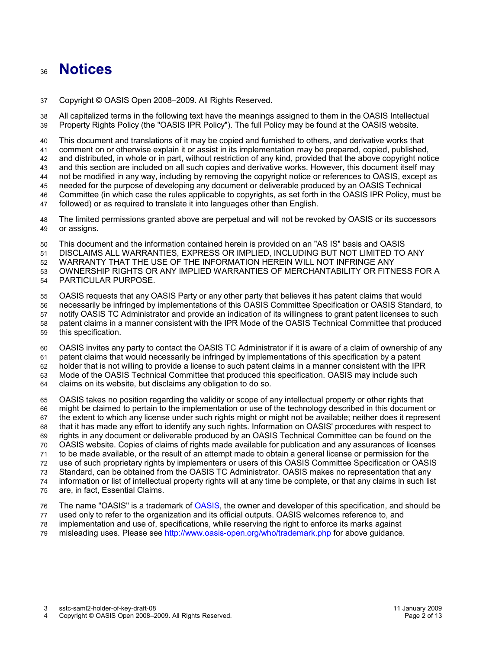### **Notices** 36

Copyright © OASIS Open 2008–2009. All Rights Reserved. 37

All capitalized terms in the following text have the meanings assigned to them in the OASIS Intellectual Property Rights Policy (the "OASIS IPR Policy"). The full Policy may be found at the OASIS website. 38 39

This document and translations of it may be copied and furnished to others, and derivative works that 40

comment on or otherwise explain it or assist in its implementation may be prepared, copied, published, 41

and distributed, in whole or in part, without restriction of any kind, provided that the above copyright notice and this section are included on all such copies and derivative works. However, this document itself may 42 43

not be modified in any way, including by removing the copyright notice or references to OASIS, except as 44

needed for the purpose of developing any document or deliverable produced by an OASIS Technical 45

Committee (in which case the rules applicable to copyrights, as set forth in the OASIS IPR Policy, must be 46

followed) or as required to translate it into languages other than English. 47

The limited permissions granted above are perpetual and will not be revoked by OASIS or its successors or assigns. 48 49

This document and the information contained herein is provided on an "AS IS" basis and OASIS 50

DISCLAIMS ALL WARRANTIES, EXPRESS OR IMPLIED, INCLUDING BUT NOT LIMITED TO ANY 51

WARRANTY THAT THE USE OF THE INFORMATION HEREIN WILL NOT INFRINGE ANY 52

OWNERSHIP RIGHTS OR ANY IMPLIED WARRANTIES OF MERCHANTABILITY OR FITNESS FOR A 53

PARTICULAR PURPOSE. 54

OASIS requests that any OASIS Party or any other party that believes it has patent claims that would 55

- necessarily be infringed by implementations of this OASIS Committee Specification or OASIS Standard, to 56
- notify OASIS TC Administrator and provide an indication of its willingness to grant patent licenses to such patent claims in a manner consistent with the IPR Mode of the OASIS Technical Committee that produced 57 58
- this specification. 59

OASIS invites any party to contact the OASIS TC Administrator if it is aware of a claim of ownership of any 60

patent claims that would necessarily be infringed by implementations of this specification by a patent 61

holder that is not willing to provide a license to such patent claims in a manner consistent with the IPR 62

Mode of the OASIS Technical Committee that produced this specification. OASIS may include such 63

claims on its website, but disclaims any obligation to do so. 64

OASIS takes no position regarding the validity or scope of any intellectual property or other rights that might be claimed to pertain to the implementation or use of the technology described in this document or the extent to which any license under such rights might or might not be available; neither does it represent that it has made any effort to identify any such rights. Information on OASIS' procedures with respect to rights in any document or deliverable produced by an OASIS Technical Committee can be found on the OASIS website. Copies of claims of rights made available for publication and any assurances of licenses to be made available, or the result of an attempt made to obtain a general license or permission for the use of such proprietary rights by implementers or users of this OASIS Committee Specification or OASIS Standard, can be obtained from the OASIS TC Administrator. OASIS makes no representation that any information or list of intellectual property rights will at any time be complete, or that any claims in such list are, in fact, Essential Claims. 65 66 67 68 69 70 71 72 73 74 75

The name "OASIS" is a trademark of [OASIS,](http://www.oasis-open.org/) the owner and developer of this specification, and should be used only to refer to the organization and its official outputs. OASIS welcomes reference to, and implementation and use of, specifications, while reserving the right to enforce its marks against 76 77 78

misleading uses. Please see<http://www.oasis-open.org/who/trademark.php>for above guidance. 79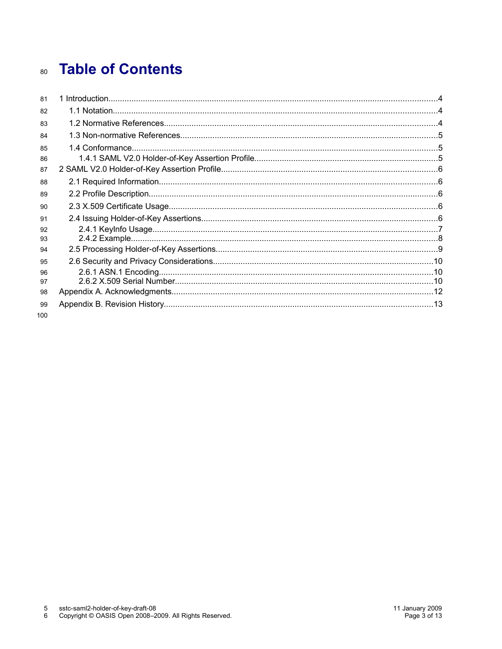# **Table of Contents** 80

| 81  |  |
|-----|--|
| 82  |  |
| 83  |  |
| 84  |  |
| 85  |  |
| 86  |  |
| 87  |  |
| 88  |  |
| 89  |  |
| 90  |  |
| 91  |  |
| 92  |  |
| 93  |  |
| 94  |  |
| 95  |  |
| 96  |  |
| 97  |  |
| 98  |  |
| 99  |  |
| 100 |  |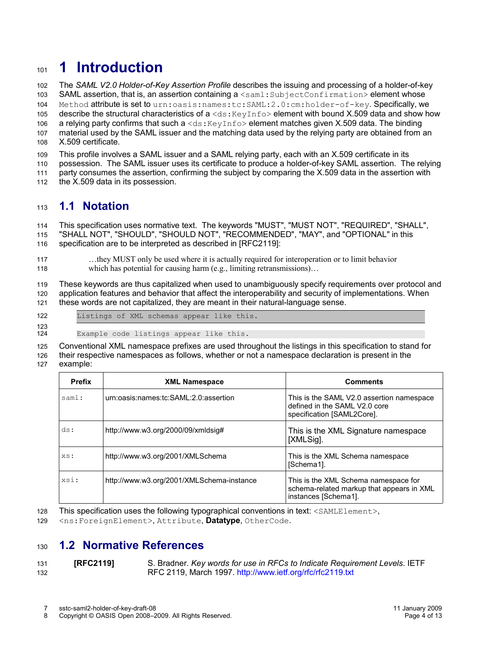# **1 Introduction** 101

The *SAML V2.0 Holder-of-Key Assertion Profile* describes the issuing and processing of a holder-of-key SAML assertion, that is, an assertion containing a <saml: SubjectConfirmation> element whose Method attribute is set to urn: oasis: names: tc: SAML: 2.0: cm: holder-of-key. Specifically, we describe the structural characteristics of a  $\langle ds : KeyInf \circ \rangle$  element with bound X.509 data and show how a relying party confirms that such a  $\langle ds: K(y) \rangle$  element matches given X.509 data. The binding material used by the SAML issuer and the matching data used by the relying party are obtained from an X.509 certificate. 102 103 104 105 106 107 108

This profile involves a SAML issuer and a SAML relying party, each with an X.509 certificate in its 109

possession. The SAML issuer uses its certificate to produce a holder-of-key SAML assertion. The relying 110

party consumes the assertion, confirming the subject by comparing the X.509 data in the assertion with 111

the X.509 data in its possession. 112

#### **1.1 Notation** 113

This specification uses normative text. The keywords "MUST", "MUST NOT", "REQUIRED", "SHALL", "SHALL NOT", "SHOULD", "SHOULD NOT", "RECOMMENDED", "MAY", and "OPTIONAL" in this 114 115

specification are to be interpreted as described in [\[RFC2119\]:](#page-3-0) 116

…they MUST only be used where it is actually required for interoperation or to limit behavior which has potential for causing harm (e.g., limiting retransmissions)... 117 118

These keywords are thus capitalized when used to unambiguously specify requirements over protocol and application features and behavior that affect the interoperability and security of implementations. When these words are not capitalized, they are meant in their natural-language sense. 119 120 121

- Listings of XML schemas appear like this. 122
- 123 124

Example code listings appear like this.

Conventional XML namespace prefixes are used throughout the listings in this specification to stand for 125

their respective namespaces as follows, whether or not a namespace declaration is present in the example: 126 127

| <b>Prefix</b> | <b>XML Namespace</b>                      | <b>Comments</b>                                                                                           |
|---------------|-------------------------------------------|-----------------------------------------------------------------------------------------------------------|
| saml:         | urn:oasis:names:tc:SAML:2.0:assertion     | This is the SAML V2.0 assertion namespace<br>defined in the SAML V2.0 core<br>specification [SAML2Core].  |
| ds:           | http://www.w3.org/2000/09/xmldsig#        | This is the XML Signature namespace<br>[XMLSig].                                                          |
| XS:           | http://www.w3.org/2001/XMLSchema          | This is the XML Schema namespace<br>[Schema1].                                                            |
| xsi:          | http://www.w3.org/2001/XMLSchema-instance | This is the XML Schema namespace for<br>schema-related markup that appears in XML<br>instances [Schema1]. |

This specification uses the following typographical conventions in text: <SAMLElement>, 128

<ns:ForeignElement>, Attribute, **Datatype**, OtherCode. 129

#### **1.2 Normative References** 130

#### <span id="page-3-0"></span>**[RFC2119]** S. Bradner. *Key words for use in RFCs to Indicate Requirement Levels*. IETF RFC 2119, March 1997.<http://www.ietf.org/rfc/rfc2119.txt> 131 132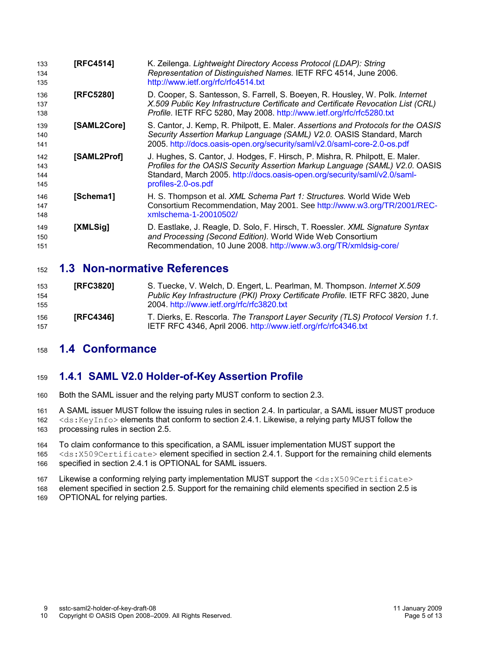<span id="page-4-5"></span><span id="page-4-4"></span><span id="page-4-3"></span><span id="page-4-2"></span>

| 133<br>134<br>135        | [RFC4514]   | K. Zeilenga. Lightweight Directory Access Protocol (LDAP): String<br>Representation of Distinguished Names. IETF RFC 4514, June 2006.<br>http://www.ietf.org/rfc/rfc4514.txt                                                                                      |
|--------------------------|-------------|-------------------------------------------------------------------------------------------------------------------------------------------------------------------------------------------------------------------------------------------------------------------|
| 136<br>137<br>138        | [RFC5280]   | D. Cooper, S. Santesson, S. Farrell, S. Boeyen, R. Housley, W. Polk. Internet<br>X.509 Public Key Infrastructure Certificate and Certificate Revocation List (CRL)<br>Profile. IETF RFC 5280, May 2008. http://www.ietf.org/rfc/rfc5280.txt                       |
| 139<br>140<br>141        | [SAML2Core] | S. Cantor, J. Kemp, R. Philpott, E. Maler. Assertions and Protocols for the OASIS<br>Security Assertion Markup Language (SAML) V2.0. OASIS Standard, March<br>2005. http://docs.oasis-open.org/security/saml/v2.0/saml-core-2.0-os.pdf                            |
| 142<br>143<br>144<br>145 | [SAML2Prof] | J. Hughes, S. Cantor, J. Hodges, F. Hirsch, P. Mishra, R. Philpott, E. Maler.<br>Profiles for the OASIS Security Assertion Markup Language (SAML) V2.0. OASIS<br>Standard, March 2005. http://docs.oasis-open.org/security/saml/v2.0/saml-<br>profiles-2.0-os.pdf |
| 146<br>147<br>148        | [Schema1]   | H. S. Thompson et al. XML Schema Part 1: Structures. World Wide Web<br>Consortium Recommendation, May 2001. See http://www.w3.org/TR/2001/REC-<br>xmlschema-1-20010502/                                                                                           |
| 149<br>150<br>151        | [XMLSig]    | D. Eastlake, J. Reagle, D. Solo, F. Hirsch, T. Roessler. XML Signature Syntax<br>and Processing (Second Edition). World Wide Web Consortium<br>Recommendation, 10 June 2008. http://www.w3.org/TR/xmldsig-core/                                                   |

#### <span id="page-4-1"></span><span id="page-4-0"></span>**1.3 Non-normative References** 152

<span id="page-4-8"></span><span id="page-4-7"></span>

| 153 | <b>IRFC38201</b> | S. Tuecke, V. Welch, D. Engert, L. Pearlman, M. Thompson. Internet X.509         |
|-----|------------------|----------------------------------------------------------------------------------|
| 154 |                  | Public Key Infrastructure (PKI) Proxy Certificate Profile. IETF RFC 3820, June   |
| 155 |                  | 2004. http://www.ietf.org/rfc/rfc3820.txt                                        |
| 156 | <b>IRFC43461</b> | T. Dierks, E. Rescorla. The Transport Layer Security (TLS) Protocol Version 1.1. |
| 157 |                  | IETF RFC 4346, April 2006. http://www.ietf.org/rfc/rfc4346.txt                   |

#### <span id="page-4-6"></span>**1.4 Conformance** 158

#### **1.4.1 SAML V2.0 Holder-of-Key Assertion Profile** 159

Both the SAML issuer and the relying party MUST conform to section [2.3.](#page-5-1) 160

A SAML issuer MUST follow the issuing rules in section [2.4.](#page-5-0) In particular, a SAML issuer MUST produce 161

<ds:KeyInfo> elements that conform to section [2.4.1.](#page-6-0) Likewise, a relying party MUST follow the processing rules in section [2.5.](#page-8-0) 162 163

To claim conformance to this specification, a SAML issuer implementation MUST support the 164

- <ds:X509Certificate> element specified in section [2.4.1.](#page-6-0) Support for the remaining child elements specified in section [2.4.1](#page-6-0) is OPTIONAL for SAML issuers. 165 166
- Likewise a conforming relying party implementation MUST support the <ds: X509Certificate> 167
- element specified in section [2.5.](#page-8-0) Support for the remaining child elements specified in section [2.5](#page-8-0) is 168
- OPTIONAL for relying parties. 169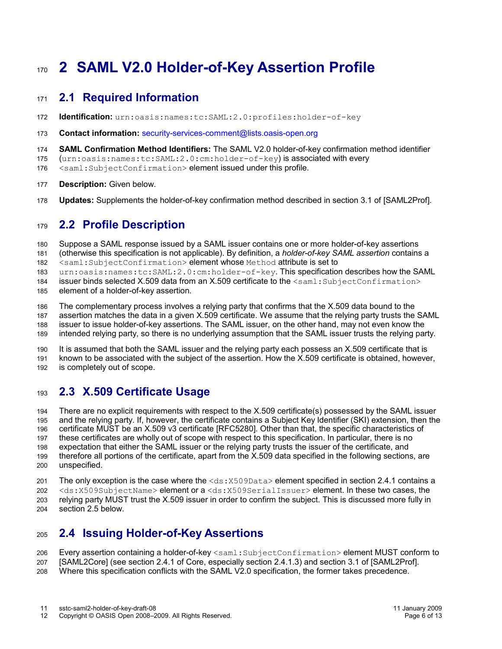# **2 SAML V2.0 Holder-of-Key Assertion Profile** 170

#### **2.1 Required Information** 171

- **Identification:** urn:oasis:names:tc:SAML:2.0:profiles:holder-of-key 172
- **Contact information:** [security-services-comment@lists.oasis-open.org](mailto:security-services-comment@lists.oasis-open.org) 173
- **SAML Confirmation Method Identifiers:** The SAML V2.0 holder-of-key confirmation method identifier 174
- (urn:oasis:names:tc:SAML:2.0:cm:holder-of-key) is associated with every 175
- <saml:SubjectConfirmation> element issued under this profile. 176
- **Description:** Given below. 177
- **Updates:** Supplements the holder-of-key confirmation method described in section 3.1 of [\[SAML2Prof\].](#page-4-3) 178

#### **2.2 Profile Description** 179

Suppose a SAML response issued by a SAML issuer contains one or more holder-of-key assertions 180

(otherwise this specification is not applicable). By definition, a *holder-of-key SAML assertion* contains a <saml:SubjectConfirmation> element whose Method attribute is set to 181 182

urn:oasis:names:tc:SAML:2.0:cm:holder-of-key. This specification describes how the SAML 183

issuer binds selected X.509 data from an X.509 certificate to the  $\leq$ saml:SubjectConfirmation> 184

element of a holder-of-key assertion. 185

The complementary process involves a relying party that confirms that the X.509 data bound to the assertion matches the data in a given X.509 certificate. We assume that the relying party trusts the SAML issuer to issue holder-of-key assertions. The SAML issuer, on the other hand, may not even know the intended relying party, so there is no underlying assumption that the SAML issuer trusts the relying party. 186 187 188 189

It is assumed that both the SAML issuer and the relying party each possess an X.509 certificate that is known to be associated with the subject of the assertion. How the X.509 certificate is obtained, however, is completely out of scope. 190 191 192

#### <span id="page-5-1"></span>**2.3 X.509 Certificate Usage** 193

There are no explicit requirements with respect to the X.509 certificate(s) possessed by the SAML issuer and the relying party. If, however, the certificate contains a Subject Key Identifier (SKI) extension, then the certificate MUST be an X.509 v3 certificate [\[RFC5280\].](#page-4-4) Other than that, the specific characteristics of these certificates are wholly out of scope with respect to this specification. In particular, there is no expectation that either the SAML issuer or the relying party trusts the issuer of the certificate, and therefore all portions of the certificate, apart from the X.509 data specified in the following sections, are unspecified. 194 195 196 197 198 199 200

The only exception is the case where the  $\langle ds: X509Data \rangle$  element specified in section [2.4.1](#page-6-0) contains a <ds:X509SubjectName> element or a <ds:X509SerialIssuer> element. In these two cases, the relying party MUST trust the X.509 issuer in order to confirm the subject. This is discussed more fully in section [2.5](#page-8-0) below. 201 202 203 204

#### <span id="page-5-0"></span>**2.4 Issuing Holder-of-Key Assertions** 205

Every assertion containing a holder-of-key <saml: SubjectConfirmation> element MUST conform to 206

- [\[SAML2Core\]](#page-4-2) (see section 2.4.1 of Core, especially section 2.4.1.3) and section 3.1 of [\[SAML2Prof\].](#page-4-3) 207
- Where this specification conflicts with the SAML V2.0 specification, the former takes precedence. 208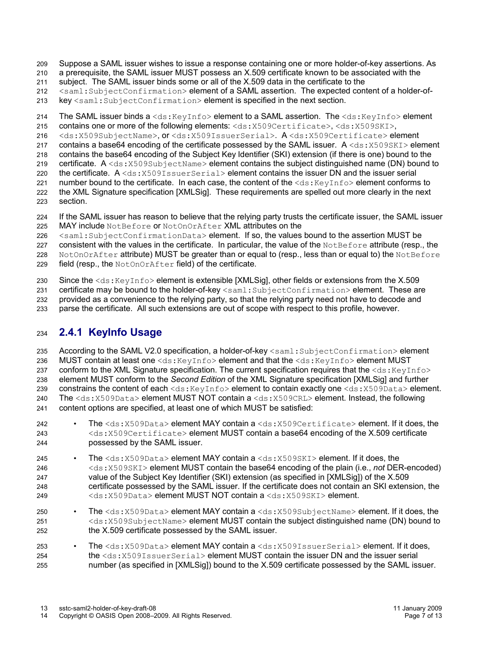Suppose a SAML issuer wishes to issue a response containing one or more holder-of-key assertions. As 209

a prerequisite, the SAML issuer MUST possess an X.509 certificate known to be associated with the 210

subject. The SAML issuer binds some or all of the X.509 data in the certificate to the 211

<saml:SubjectConfirmation> element of a SAML assertion. The expected content of a holder-of-212

key <saml:SubjectConfirmation> element is specified in the next section. 213

The SAML issuer binds a <ds:KeyInfo> element to a SAML assertion. The <ds:KeyInfo> element 214

contains one or more of the following elements: <ds:X509Certificate>, <ds:X509SKI>, 215

<ds:X509SubjectName>, or <ds:X509IssuerSerial>. A <ds:X509Certificate> element 216

contains a base64 encoding of the certificate possessed by the SAML issuer. A <ds:  $x509$ SKI> element 217

contains the base64 encoding of the Subject Key Identifier (SKI) extension (if there is one) bound to the certificate.  $A \le ds : X509$ SubjectName> element contains the subject distinguished name (DN) bound to 218 219

the certificate. A <ds:X509IssuerSerial> element contains the issuer DN and the issuer serial 220

number bound to the certificate. In each case, the content of the  $\langle ds : KeyInf \circ \rangle$  element conforms to 221

the XML Signature specification [\[XMLSig\].](#page-4-1) These requirements are spelled out more clearly in the next section. 222 223

If the SAML issuer has reason to believe that the relying party trusts the certificate issuer, the SAML issuer MAY include NotBefore or NotOnOrAfter XML attributes on the 224 225

<saml:SubjectConfirmationData> element. If so, the values bound to the assertion MUST be 226

consistent with the values in the certificate. In particular, the value of the NotBefore attribute (resp., the 227

NotOnOrAfter attribute) MUST be greater than or equal to (resp., less than or equal to) the NotBefore 228

field (resp., the NotOnOrAfter field) of the certificate. 22Q

Since the <ds:KeyInfo> element is extensible [\[XMLSig\],](#page-4-1) other fields or extensions from the X.509 230

certificate may be bound to the holder-of-key <saml:SubjectConfirmation> element. These are 231

provided as a convenience to the relying party, so that the relying party need not have to decode and 232

parse the certificate. All such extensions are out of scope with respect to this profile, however. 233

#### <span id="page-6-0"></span>**2.4.1 KeyInfo Usage** 234

According to the SAML V2.0 specification, a holder-of-key <saml: SubjectConfirmation> element MUST contain at least one <ds:KeyInfo> element and that the <ds:KeyInfo> element MUST conform to the XML Signature specification. The current specification requires that the  $\langle ds : KeyInf \circ \rangle$ element MUST conform to the *Second Edition* of the XML Signature specification [\[XMLSig\]](#page-4-1) and further constrains the content of each <ds:KeyInfo> element to contain exactly one <ds:X509Data> element. The <ds:X509Data> element MUST NOT contain a <ds:X509CRL> element. Instead, the following content options are specified, at least one of which MUST be satisfied: 235 236 237 238 239 240 241

The <ds:X509Data> element MAY contain a <ds:X509Certificate> element. If it does, the <ds:X509Certificate> element MUST contain a base64 encoding of the X.509 certificate possessed by the SAML issuer. 242 243 244

- The <ds:X509Data> element MAY contain a <ds:X509SKI> element. If it does, the <ds:X509SKI> element MUST contain the base64 encoding of the plain (i.e., *not* DER-encoded) value of the Subject Key Identifier (SKI) extension (as specified in [\[XMLSig\]\)](#page-4-1) of the X.509 certificate possessed by the SAML issuer. If the certificate does not contain an SKI extension, the <ds:X509Data> element MUST NOT contain a <ds:X509SKI> element. 245  $246$ 247 248 249
- The <ds:X509Data> element MAY contain a <ds:X509SubjectName> element. If it does, the <ds:X509SubjectName> element MUST contain the subject distinguished name (DN) bound to the X.509 certificate possessed by the SAML issuer. 250 251 252
- The <ds:X509Data> element MAY contain a <ds:X509IssuerSerial> element. If it does, the <ds:X509IssuerSerial> element MUST contain the issuer DN and the issuer serial number (as specified in [\[XMLSig\]\)](#page-4-1) bound to the X.509 certificate possessed by the SAML issuer. 253 254 255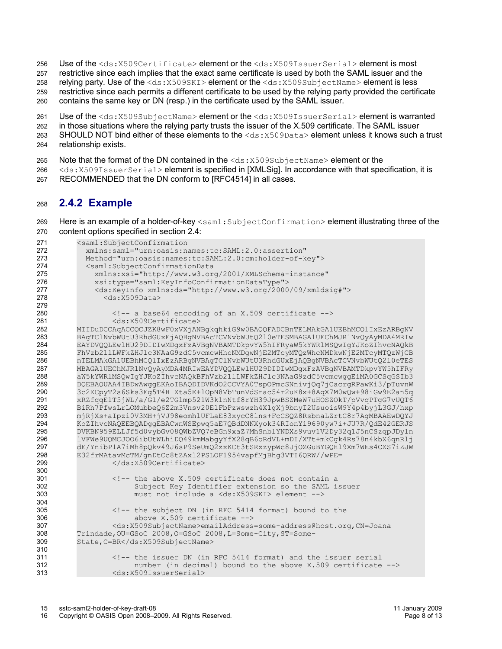Use of the <ds:X509Certificate> element or the <ds:X509IssuerSerial> element is most 256

restrictive since each implies that the exact same certificate is used by both the SAML issuer and the 257

relying party. Use of the <ds:X509SKI> element or the <ds:X509SubjectName> element is less 258

restrictive since each permits a different certificate to be used by the relying party provided the certificate 259

contains the same key or DN (resp.) in the certificate used by the SAML issuer. 260

- Use of the <ds:X509SubjectName> element or the <ds:X509IssuerSerial> element is warranted 261
- in those situations where the relying party trusts the issuer of the X.509 certificate. The SAML issuer 262

SHOULD NOT bind either of these elements to the  $\langle ds : X509Data \rangle$  element unless it knows such a trust relationship exists. 263 264

- Note that the format of the DN contained in the  $\langle ds:X509SubjectName>$  element or the 265
- <ds:X509IssuerSerial> element is specified in [\[XMLSig\].](#page-4-1) In accordance with that specification, it is 266
- RECOMMENDED that the DN conform to [\[RFC4514\]](#page-4-5) in all cases. 267

#### **2.4.2 Example** 268

Here is an example of a holder-of-key <saml:SubjectConfirmation> element illustrating three of the content options specified in section [2.4:](#page-5-0) 269 270

```
<saml:SubjectConfirmation
            xmlns:saml="urn:oasis:names:tc:SAML:2.0:assertion" 
            Method="urn:oasis:names:tc:SAML:2.0:cm:holder-of-key">
            <saml:SubjectConfirmationData 
              xmlns:xsi="http://www.w3.org/2001/XMLSchema-instance"
              xsi:type="saml:KeyInfoConfirmationDataType">
              <ds:KeyInfo xmlns:ds="http://www.w3.org/2000/09/xmldsig#">
               <ds:x509Data>
                  <!-- a base64 encoding of an X.509 certificate -->
                  <ds:X509Certificate>
         MIIDuDCCAqACCQCJZK8wF0xVXjANBgkqhkiG9w0BAQQFADCBnTELMAkGA1UEBhMCQlIxEzARBgNV
         BAgTClNvbWUtU3RhdGUxEjAQBgNVBAcTCVNvbWUtQ2l0eTESMBAGA1UEChMJR1NvQyAyMDA4MRIw
         EAYDVQQLEwlHU29DIDIwMDgxFzAVBgNVBAMTDkpvYW5hIFRyaW5kYWRlMSQwIgYJKoZIhvcNAQkB
         FhVzb21lLWFkZHJlc3NAaG9zdC5vcmcwHhcNMDgwNjE2MTcyMTQzWhcNMDkwNjE2MTcyMTQzWjCB
         nTELMAkGA1UEBhMCQlIxEzARBgNVBAgTClNvbWUtU3RhdGUxEjAQBgNVBAcTCVNvbWUtQ2l0eTES
         MBAGA1UEChMJR1NvQyAyMDA4MRIwEAYDVQQLEwlHU29DIDIwMDgxFzAVBgNVBAMTDkpvYW5hIFRy
         aW5kYWRlMSQwIgYJKoZIhvcNAQkBFhVzb21lLWFkZHJlc3NAaG9zdC5vcmcwggEiMA0GCSqGSIb3
         DQEBAQUAA4IBDwAwggEKAoIBAQDIDVKdO2CCVYA0TspOPmcSNnivjQq7jCacrgRPawKi3/pTuvnW
         3c2XCpyT2s6Sks3Eg5T4HIXta5E+lOpN8VbTunVdSrac54r2uK8x+8AqX7M0wQw+98iGw9E2an5q
         xRZfqqE1T5jWL/a/G1/e2TGlmp521W3k1nNtf8rYH39JpwBSZMeW7uHOSZOkT/pVvqPTgG7vUQT6
         BiRh7PfwsLrLOMubbeQ6Z2m3Vnsv20E1FbPzwswzh4X1gXj9bnyI2UsuoisW9Y4p4byjL3GJ/hxp
         mjRjXs+aIpzi0V3MH+jVJ98eomhlUFLaE83xycC8lns+FcCSQZ8RsbnaLZrtC8r7AgMBAAEwDQYJ
         KoZIhvcNAQEEBQADggEBACwnWSEpwq5aE7QBdDNNXyok34RIonYi9690yw7i+JU7R/QdE42GERJS
         DVKBN959ELLJf5d0vybGv08QWbZVQ7eBGn9xaZ7MhSnblYNDXs9vuv1V2Dy32q1J5nCSzqpJDyln
         lVFWe9UQMCJOO6ibUtWLhiDQ49kmMabgyYfX28qB6oRdVL+mDI/XTt+mkCgk4Rs78n4kbX6qnRlj
         dE/YnibP1A7iMh8pQkv49J6sP9SeUmQ2zxKCt3tSRzzypWc8JjOZGuBYGQHl9Xm7WEs4CXS7iZJW
         E32frMAtavMcTM/gnDtCc8tZAxl2PSLOF1954vapfMjBhg3VTI6QRW//wPE=
                  </ds:X509Certificate>
                  <!-- the above X.509 certificate does not contain a
                       Subject Key Identifier extension so the SAML issuer
                       must not include a <ds:X509SKI> element -->
                  <!-- the subject DN (in RFC 5414 format) bound to the 
                       above X.509 certificate -->
                  <ds:X509SubjectName>emailAddress=some-address@host.org,CN=Joana
         Trindade,OU=GSoC 2008,O=GSoC 2008,L=Some-City,ST=Some-
         State,C=BR</ds:X509SubjectName>
                  <!-- the issuer DN (in RFC 5414 format) and the issuer serial 
                       number (in decimal) bound to the above X.509 certificate -->
                  <ds:X509IssuerSerial> 
271
272
273
274
275
276
277
278
279
280
281
282
283
284
285
286
287
288
289
290
291
292
293
294
295
296
297
298
299
300
301
302
303
304
305
306
307
308
309
310
311
312
313
```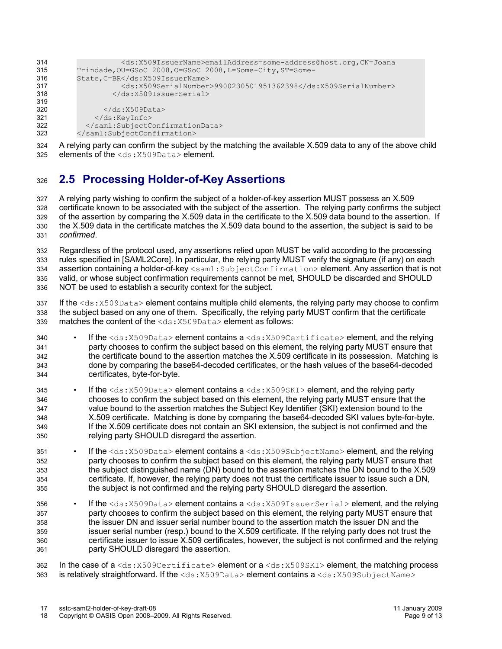| 314 | <ds:x509issuername>emailAddress=some-address@host.org, CN=Joana</ds:x509issuername> |
|-----|-------------------------------------------------------------------------------------|
| 315 | Trindade, OU=GSoC 2008, O=GSoC 2008, L=Some-City, ST=Some-                          |
| 316 | State, C=BR                                                                         |
| 317 | <ds:x509serialnumber>9900230501951362398</ds:x509serialnumber>                      |
| 318 |                                                                                     |
| 319 |                                                                                     |
| 320 | $\langle$ /ds:X509Data>                                                             |
| 321 | $\langle$ /ds:KeyInfo>                                                              |
| 322 |                                                                                     |
| 323 |                                                                                     |
|     |                                                                                     |

A relying party can confirm the subject by the matching the available X.509 data to any of the above child elements of the <ds:X509Data> element. 324 325

#### <span id="page-8-0"></span>**2.5 Processing Holder-of-Key Assertions** 326

A relying party wishing to confirm the subject of a holder-of-key assertion MUST possess an X.509 certificate known to be associated with the subject of the assertion. The relying party confirms the subject of the assertion by comparing the X.509 data in the certificate to the X.509 data bound to the assertion. If the X.509 data in the certificate matches the X.509 data bound to the assertion, the subject is said to be *confirmed*. 327 328 329 330 331

Regardless of the protocol used, any assertions relied upon MUST be valid according to the processing rules specified in [\[SAML2Core\].](#page-4-2) In particular, the relying party MUST verify the signature (if any) on each assertion containing a holder-of-key <saml:SubjectConfirmation> element. Any assertion that is not valid, or whose subject confirmation requirements cannot be met, SHOULD be discarded and SHOULD NOT be used to establish a security context for the subject. 332 333 334 335 336

If the  $<$ ds: $<sub>X509Data</sub>$  element contains multiple child elements, the relying party may choose to confirm</sub> the subject based on any one of them. Specifically, the relying party MUST confirm that the certificate matches the content of the <ds:X509Data> element as follows: 337 338 339

- If the <ds:X509Data> element contains a <ds:X509Certificate> element, and the relying party chooses to confirm the subject based on this element, the relying party MUST ensure that the certificate bound to the assertion matches the X.509 certificate in its possession. Matching is done by comparing the base64-decoded certificates, or the hash values of the base64-decoded certificates, byte-for-byte. 340 341 342 343 344
- If the  $\langle ds:X509Data\rangle$  element contains a  $\langle ds:X509SKI\rangle$  element, and the relying party chooses to confirm the subject based on this element, the relying party MUST ensure that the value bound to the assertion matches the Subject Key Identifier (SKI) extension bound to the X.509 certificate. Matching is done by comparing the base64-decoded SKI values byte-for-byte. If the X.509 certificate does not contain an SKI extension, the subject is not confirmed and the relying party SHOULD disregard the assertion. 345 346 347 348 349 350
- If the  $\langle ds:X509Data\rangle$  element contains a  $\langle ds:X509SubjectName\rangle$  element, and the relying party chooses to confirm the subject based on this element, the relying party MUST ensure that the subject distinguished name (DN) bound to the assertion matches the DN bound to the X.509 certificate. If, however, the relying party does not trust the certificate issuer to issue such a DN, the subject is not confirmed and the relying party SHOULD disregard the assertion. 351 352 353 354 355
- If the <ds:X509Data> element contains a <ds:X509IssuerSerial> element, and the relying party chooses to confirm the subject based on this element, the relying party MUST ensure that the issuer DN and issuer serial number bound to the assertion match the issuer DN and the issuer serial number (resp.) bound to the X.509 certificate. If the relying party does not trust the certificate issuer to issue X.509 certificates, however, the subject is not confirmed and the relying party SHOULD disregard the assertion. 356 357 358 359 360 361

In the case of a  $\text{ds}:X509\text{Cert}ificate$  element or a  $\text{ds}:X509\text{SKI}$  element, the matching process is relatively straightforward. If the  $\langle ds: X509Data \rangle$  element contains a  $\langle ds: X509SubjectName \rangle$ 362 363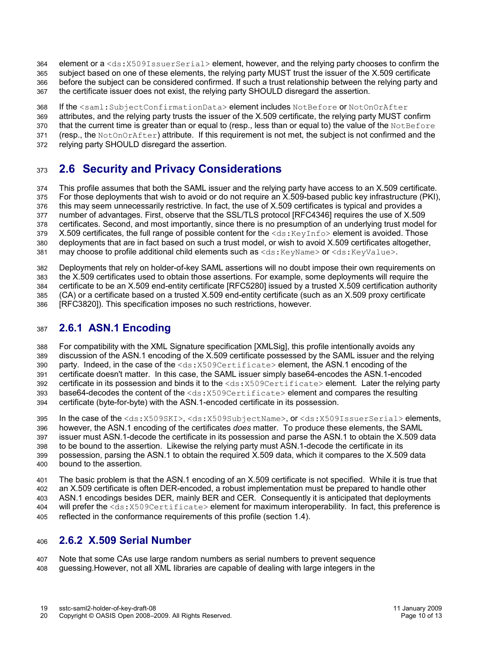- element or a <ds: X509IssuerSerial> element, however, and the relying party chooses to confirm the 364
- subject based on one of these elements, the relying party MUST trust the issuer of the X.509 certificate 365
- before the subject can be considered confirmed. If such a trust relationship between the relying party and 366
- the certificate issuer does not exist, the relying party SHOULD disregard the assertion. 367
- If the <saml:SubjectConfirmationData> element includes NotBefore or NotOnOrAfter 368
- attributes, and the relying party trusts the issuer of the X.509 certificate, the relying party MUST confirm 369
- that the current time is greater than or equal to (resp., less than or equal to) the value of the NotBefore 370
- (resp., the NotOnOrAfter) attribute. If this requirement is not met, the subject is not confirmed and the 371
- relying party SHOULD disregard the assertion. 372

#### **2.6 Security and Privacy Considerations** 373

This profile assumes that both the SAML issuer and the relying party have access to an X.509 certificate. For those deployments that wish to avoid or do not require an X.509-based public key infrastructure (PKI), this may seem unnecessarily restrictive. In fact, the use of X.509 certificates is typical and provides a number of advantages. First, observe that the SSL/TLS protocol [\[RFC4346\]](#page-4-8) requires the use of X.509 certificates. Second, and most importantly, since there is no presumption of an underlying trust model for X.509 certificates, the full range of possible content for the  $\langle ds: K(y) \rangle$  element is avoided. Those deployments that are in fact based on such a trust model, or wish to avoid X.509 certificates altogether, may choose to profile additional child elements such as  $\langle ds : KevName \rangle$  or  $\langle ds : KevValue \rangle$ . 374 375 376 377 378 379 380 381

Deployments that rely on holder-of-key SAML assertions will no doubt impose their own requirements on the X.509 certificates used to obtain those assertions. For example, some deployments will require the certificate to be an X.509 end-entity certificate [\[RFC5280\]](#page-4-4) issued by a trusted X.509 certification authority (CA) or a certificate based on a trusted X.509 end-entity certificate (such as an X.509 proxy certificate [\[RFC3820\]\)](#page-4-7). This specification imposes no such restrictions, however. 382 383 384 385 386

#### **2.6.1 ASN.1 Encoding** 387

For compatibility with the XML Signature specification [\[XMLSig\],](#page-4-1) this profile intentionally avoids any discussion of the ASN.1 encoding of the X.509 certificate possessed by the SAML issuer and the relying party. Indeed, in the case of the  $\langle ds: X509Certificate \rangle$  element, the ASN.1 encoding of the certificate doesn't matter. In this case, the SAML issuer simply base64-encodes the ASN.1-encoded certificate in its possession and binds it to the <ds: X509Certificate> element. Later the relying party base64-decodes the content of the <ds:X509Certificate> element and compares the resulting certificate (byte-for-byte) with the ASN.1-encoded certificate in its possession. 388 389 390 391 392 393 394

In the case of the <ds:X509SKI>, <ds:X509SubjectName>, or <ds:X509IssuerSerial> elements, however, the ASN.1 encoding of the certificates *does* matter. To produce these elements, the SAML issuer must ASN.1-decode the certificate in its possession and parse the ASN.1 to obtain the X.509 data to be bound to the assertion. Likewise the relying party must ASN.1-decode the certificate in its possession, parsing the ASN.1 to obtain the required X.509 data, which it compares to the X.509 data bound to the assertion. 395 396 397 398 399 400

The basic problem is that the ASN.1 encoding of an X.509 certificate is not specified. While it is true that an X.509 certificate is often DER-encoded, a robust implementation must be prepared to handle other ASN.1 encodings besides DER, mainly BER and CER. Consequently it is anticipated that deployments will prefer the <ds: X509Certificate> element for maximum interoperability. In fact, this preference is reflected in the conformance requirements of this profile (section [1.4\)](#page-4-6). 401 402 403 404 405

#### **2.6.2 X.509 Serial Number** 406

Note that some CAs use large random numbers as serial numbers to prevent sequence guessing.However, not all XML libraries are capable of dealing with large integers in the 407 408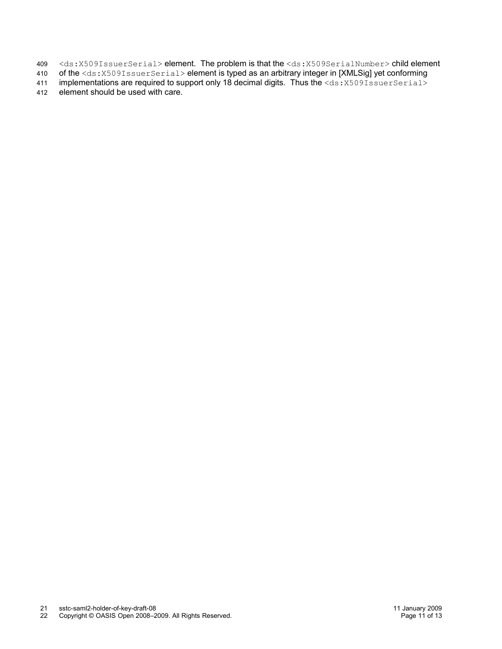- <ds:X509IssuerSerial> element. The problem is that the <ds:X509SerialNumber> child element 409
- of the <ds:X509IssuerSerial> element is typed as an arbitrary integer in [\[XMLSig\]](#page-4-1) yet conforming 410
- implementations are required to support only 18 decimal digits. Thus the <ds: X509IssuerSerial> 411
- element should be used with care. 412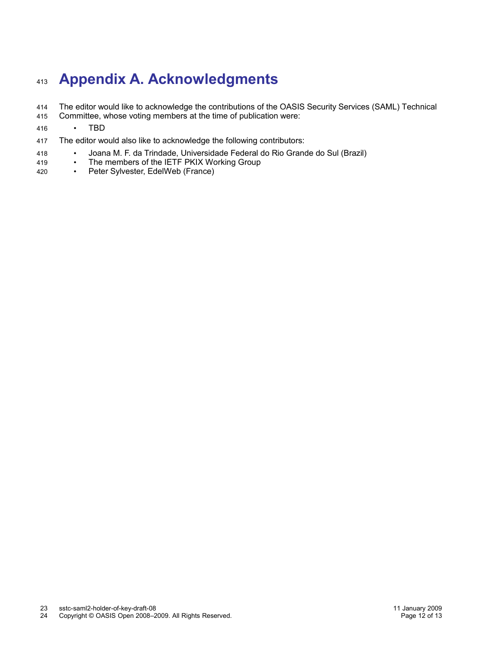# **Appendix A. Acknowledgments** 413

- The editor would like to acknowledge the contributions of the OASIS Security Services (SAML) Technical 414
- Committee, whose voting members at the time of publication were: 415

#### • TBD 416

- The editor would also like to acknowledge the following contributors: 417
- Joana M. F. da Trindade, Universidade Federal do Rio Grande do Sul (Brazil) 418
- The members of the IETF PKIX Working Group<br>• Peter Sylvester EdelWeb (France) 419
- Peter Sylvester, EdelWeb (France) 420